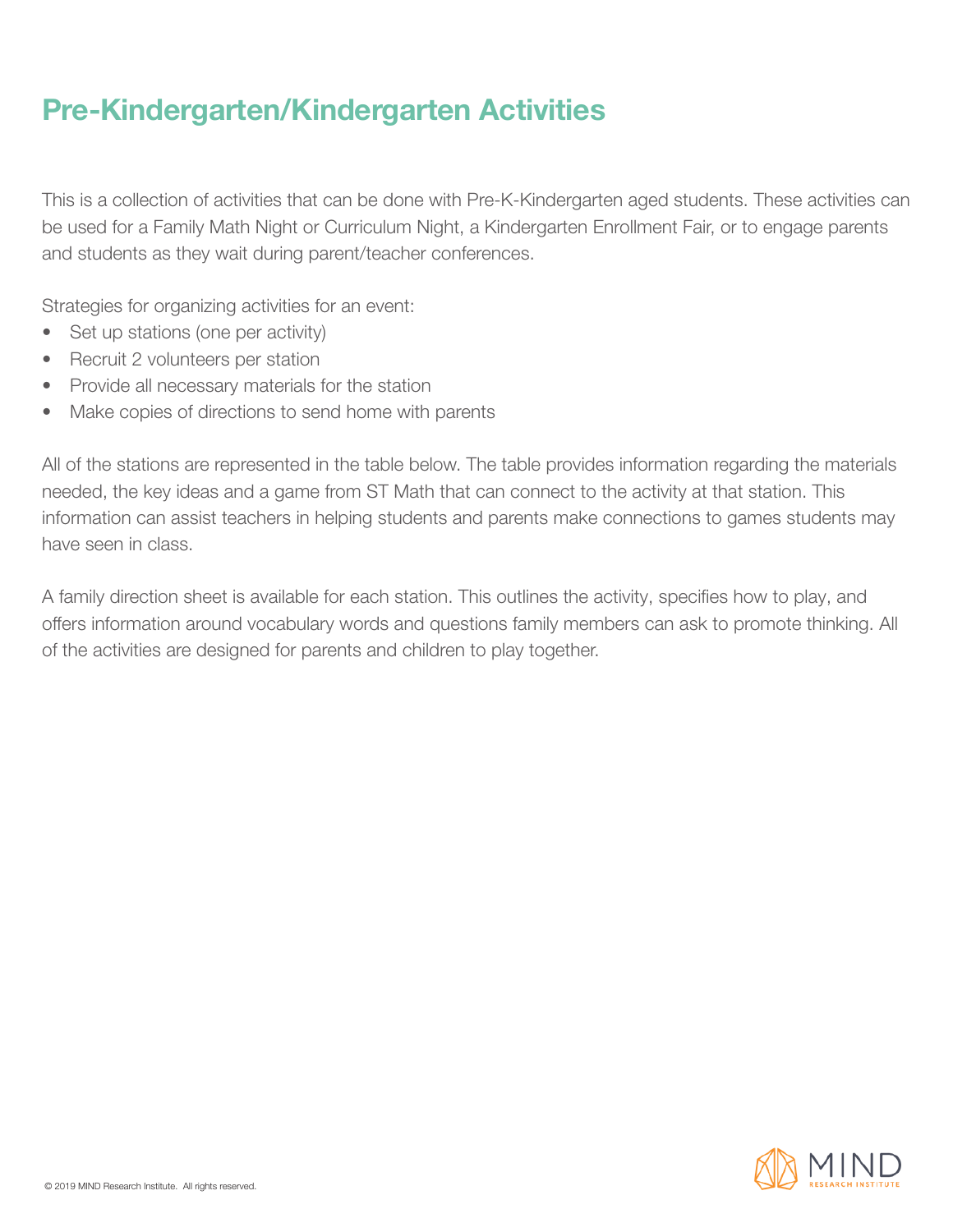### **Pre-Kindergarten/Kindergarten Activities**

This is a collection of activities that can be done with Pre-K-Kindergarten aged students. These activities can be used for a Family Math Night or Curriculum Night, a Kindergarten Enrollment Fair, or to engage parents and students as they wait during parent/teacher conferences.

Strategies for organizing activities for an event:

- Set up stations (one per activity)
- Recruit 2 volunteers per station
- Provide all necessary materials for the station
- Make copies of directions to send home with parents

All of the stations are represented in the table below. The table provides information regarding the materials needed, the key ideas and a game from ST Math that can connect to the activity at that station. This information can assist teachers in helping students and parents make connections to games students may have seen in class.

A family direction sheet is available for each station. This outlines the activity, specifies how to play, and offers information around vocabulary words and questions family members can ask to promote thinking. All of the activities are designed for parents and children to play together.

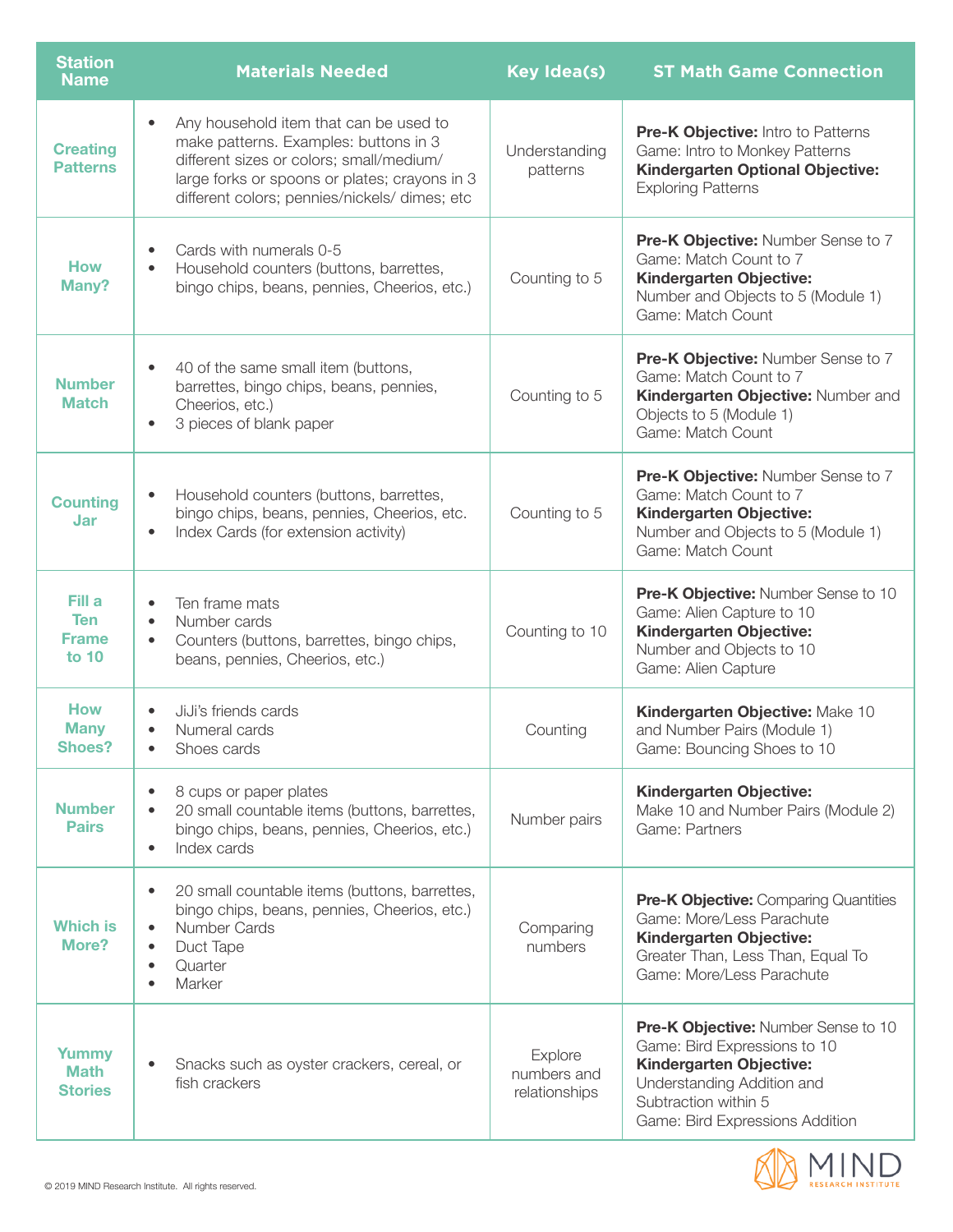| <b>Station</b><br><b>Name</b>                 | <b>Materials Needed</b>                                                                                                                                                                                                       | <b>Key Idea(s)</b>                      | <b>ST Math Game Connection</b>                                                                                                                                                                 |
|-----------------------------------------------|-------------------------------------------------------------------------------------------------------------------------------------------------------------------------------------------------------------------------------|-----------------------------------------|------------------------------------------------------------------------------------------------------------------------------------------------------------------------------------------------|
| <b>Creating</b><br><b>Patterns</b>            | Any household item that can be used to<br>make patterns. Examples: buttons in 3<br>different sizes or colors; small/medium/<br>large forks or spoons or plates; crayons in 3<br>different colors; pennies/nickels/ dimes; etc | Understanding<br>patterns               | Pre-K Objective: Intro to Patterns<br>Game: Intro to Monkey Patterns<br><b>Kindergarten Optional Objective:</b><br><b>Exploring Patterns</b>                                                   |
| <b>How</b><br>Many?                           | Cards with numerals 0-5<br>Household counters (buttons, barrettes,<br>bingo chips, beans, pennies, Cheerios, etc.)                                                                                                            | Counting to 5                           | Pre-K Objective: Number Sense to 7<br>Game: Match Count to 7<br><b>Kindergarten Objective:</b><br>Number and Objects to 5 (Module 1)<br>Game: Match Count                                      |
| <b>Number</b><br><b>Match</b>                 | 40 of the same small item (buttons,<br>barrettes, bingo chips, beans, pennies,<br>Cheerios, etc.)<br>3 pieces of blank paper                                                                                                  | Counting to 5                           | <b>Pre-K Objective: Number Sense to 7</b><br>Game: Match Count to 7<br>Kindergarten Objective: Number and<br>Objects to 5 (Module 1)<br>Game: Match Count                                      |
| <b>Counting</b><br>Jar                        | Household counters (buttons, barrettes,<br>bingo chips, beans, pennies, Cheerios, etc.<br>Index Cards (for extension activity)<br>$\bullet$                                                                                   | Counting to 5                           | Pre-K Objective: Number Sense to 7<br>Game: Match Count to 7<br>Kindergarten Objective:<br>Number and Objects to 5 (Module 1)<br>Game: Match Count                                             |
| Fill a<br><b>Ten</b><br><b>Frame</b><br>to 10 | Ten frame mats<br>Number cards<br>$\bullet$<br>Counters (buttons, barrettes, bingo chips,<br>$\bullet$<br>beans, pennies, Cheerios, etc.)                                                                                     | Counting to 10                          | Pre-K Objective: Number Sense to 10<br>Game: Alien Capture to 10<br><b>Kindergarten Objective:</b><br>Number and Objects to 10<br>Game: Alien Capture                                          |
| <b>How</b><br><b>Many</b><br><b>Shoes?</b>    | JiJi's friends cards<br>Numeral cards<br>Shoes cards                                                                                                                                                                          | Counting                                | Kindergarten Objective: Make 10<br>and Number Pairs (Module 1)<br>Game: Bouncing Shoes to 10                                                                                                   |
| <b>Number</b><br><b>Pairs</b>                 | 8 cups or paper plates<br>$\bullet$<br>20 small countable items (buttons, barrettes,<br>bingo chips, beans, pennies, Cheerios, etc.)<br>Index cards<br>$\bullet$                                                              | Number pairs                            | Kindergarten Objective:<br>Make 10 and Number Pairs (Module 2)<br>Game: Partners                                                                                                               |
| <b>Which is</b><br>More?                      | 20 small countable items (buttons, barrettes,<br>$\bullet$<br>bingo chips, beans, pennies, Cheerios, etc.)<br>Number Cards<br>Duct Tape<br>$\bullet$<br>Quarter<br>$\bullet$<br>Marker                                        | Comparing<br>numbers                    | <b>Pre-K Objective: Comparing Quantities</b><br>Game: More/Less Parachute<br>Kindergarten Objective:<br>Greater Than, Less Than, Equal To<br>Game: More/Less Parachute                         |
| Yummy<br><b>Math</b><br><b>Stories</b>        | Snacks such as oyster crackers, cereal, or<br>fish crackers                                                                                                                                                                   | Explore<br>numbers and<br>relationships | <b>Pre-K Objective: Number Sense to 10</b><br>Game: Bird Expressions to 10<br>Kindergarten Objective:<br>Understanding Addition and<br>Subtraction within 5<br>Game: Bird Expressions Addition |

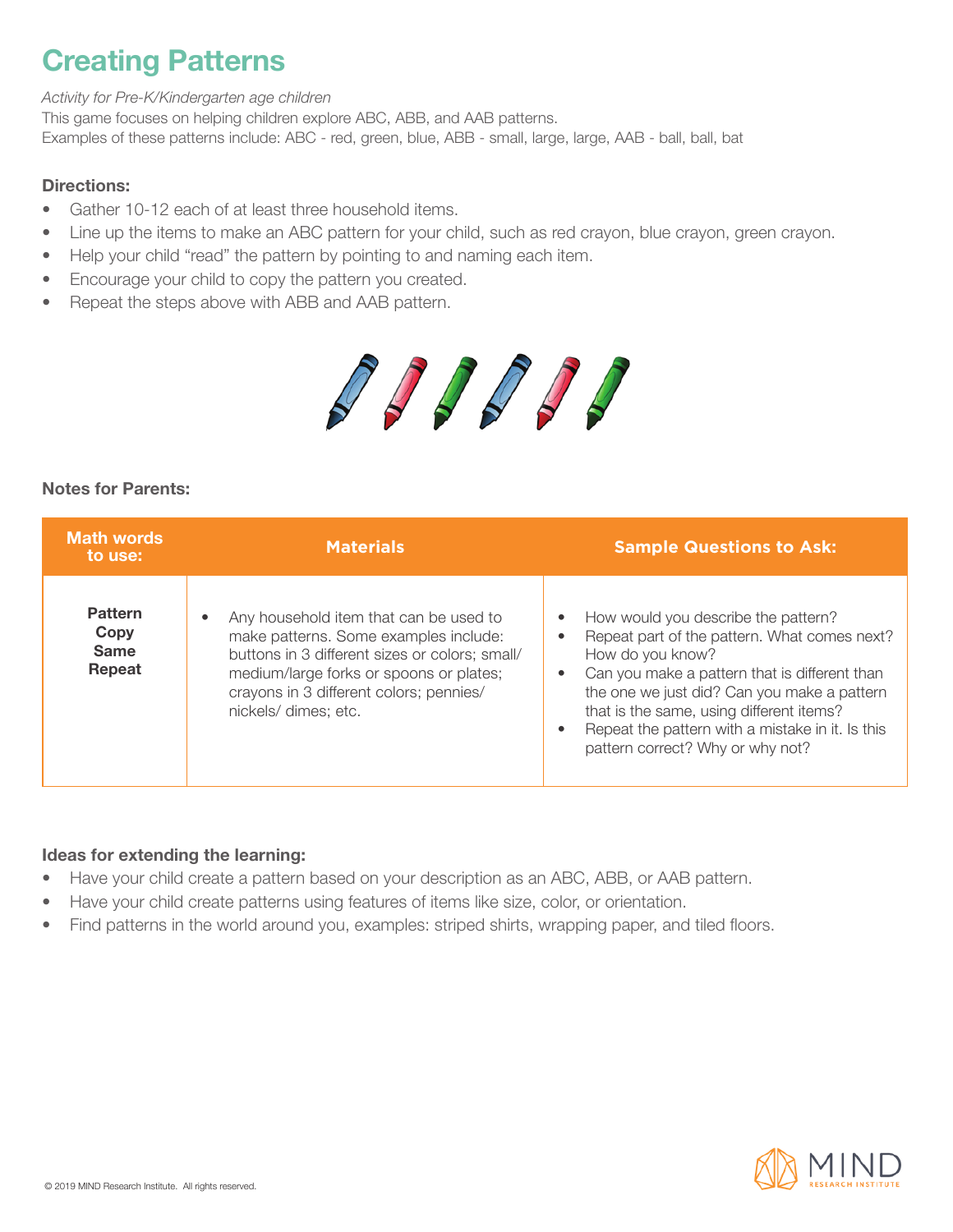# **Creating Patterns**

*Activity for Pre-K/Kindergarten age children*

This game focuses on helping children explore ABC, ABB, and AAB patterns. Examples of these patterns include: ABC - red, green, blue, ABB - small, large, large, AAB - ball, ball, bat

### Directions:

- Gather 10-12 each of at least three household items.
- Line up the items to make an ABC pattern for your child, such as red crayon, blue crayon, green crayon.
- Help your child "read" the pattern by pointing to and naming each item.
- Encourage your child to copy the pattern you created.
- Repeat the steps above with ABB and AAB pattern.



### Notes for Parents:

| <b>Math words</b><br>to use:                    | <b>Materials</b>                                                                                                                                                                                                                                | <b>Sample Questions to Ask:</b>                                                                                                                                                                                                                                                                                                             |
|-------------------------------------------------|-------------------------------------------------------------------------------------------------------------------------------------------------------------------------------------------------------------------------------------------------|---------------------------------------------------------------------------------------------------------------------------------------------------------------------------------------------------------------------------------------------------------------------------------------------------------------------------------------------|
| <b>Pattern</b><br>Copy<br><b>Same</b><br>Repeat | Any household item that can be used to<br>make patterns. Some examples include:<br>buttons in 3 different sizes or colors; small/<br>medium/large forks or spoons or plates;<br>crayons in 3 different colors; pennies/<br>nickels/ dimes; etc. | How would you describe the pattern?<br>Repeat part of the pattern. What comes next?<br>How do you know?<br>Can you make a pattern that is different than<br>the one we just did? Can you make a pattern<br>that is the same, using different items?<br>Repeat the pattern with a mistake in it. Is this<br>pattern correct? Why or why not? |

- Have your child create a pattern based on your description as an ABC, ABB, or AAB pattern.
- Have your child create patterns using features of items like size, color, or orientation.
- Find patterns in the world around you, examples: striped shirts, wrapping paper, and tiled floors.

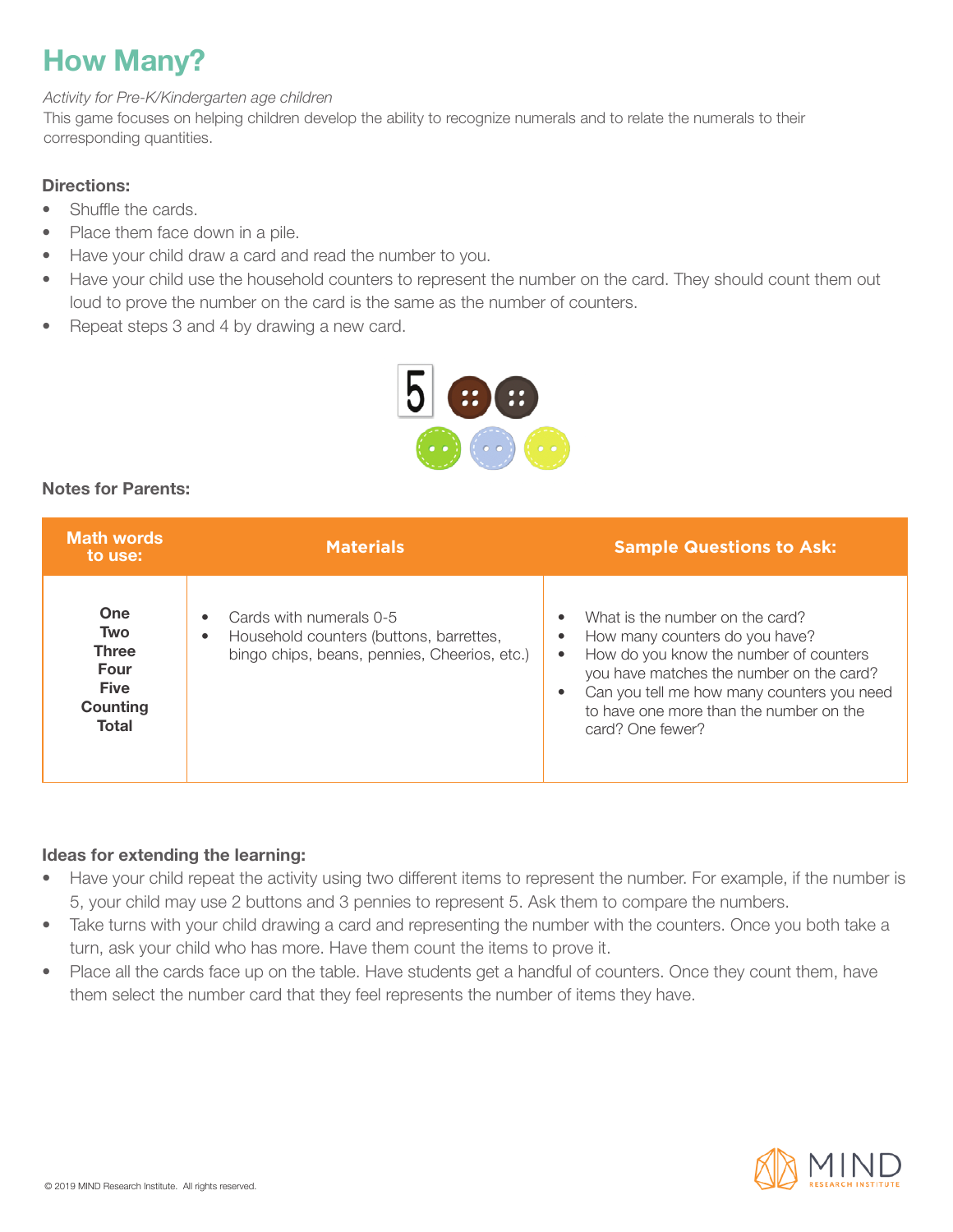# **How Many?**

#### *Activity for Pre-K/Kindergarten age children*

This game focuses on helping children develop the ability to recognize numerals and to relate the numerals to their corresponding quantities.

### Directions:

- Shuffle the cards.
- Place them face down in a pile.
- Have your child draw a card and read the number to you.
- Have your child use the household counters to represent the number on the card. They should count them out loud to prove the number on the card is the same as the number of counters.
- Repeat steps 3 and 4 by drawing a new card.



### Notes for Parents:

| <b>Math words</b><br>to use:                                                  | <b>Materials</b>                                                                                                                | <b>Sample Questions to Ask:</b>                                                                                                                                                                                                                                           |
|-------------------------------------------------------------------------------|---------------------------------------------------------------------------------------------------------------------------------|---------------------------------------------------------------------------------------------------------------------------------------------------------------------------------------------------------------------------------------------------------------------------|
| One<br><b>Two</b><br><b>Three</b><br>Four<br><b>Five</b><br>Counting<br>Total | Cards with numerals 0-5<br>Household counters (buttons, barrettes,<br>$\bullet$<br>bingo chips, beans, pennies, Cheerios, etc.) | What is the number on the card?<br>How many counters do you have?<br>How do you know the number of counters<br>٠<br>you have matches the number on the card?<br>Can you tell me how many counters you need<br>to have one more than the number on the<br>card? One fewer? |

- Have your child repeat the activity using two different items to represent the number. For example, if the number is 5, your child may use 2 buttons and 3 pennies to represent 5. Ask them to compare the numbers.
- Take turns with your child drawing a card and representing the number with the counters. Once you both take a turn, ask your child who has more. Have them count the items to prove it.
- Place all the cards face up on the table. Have students get a handful of counters. Once they count them, have them select the number card that they feel represents the number of items they have.

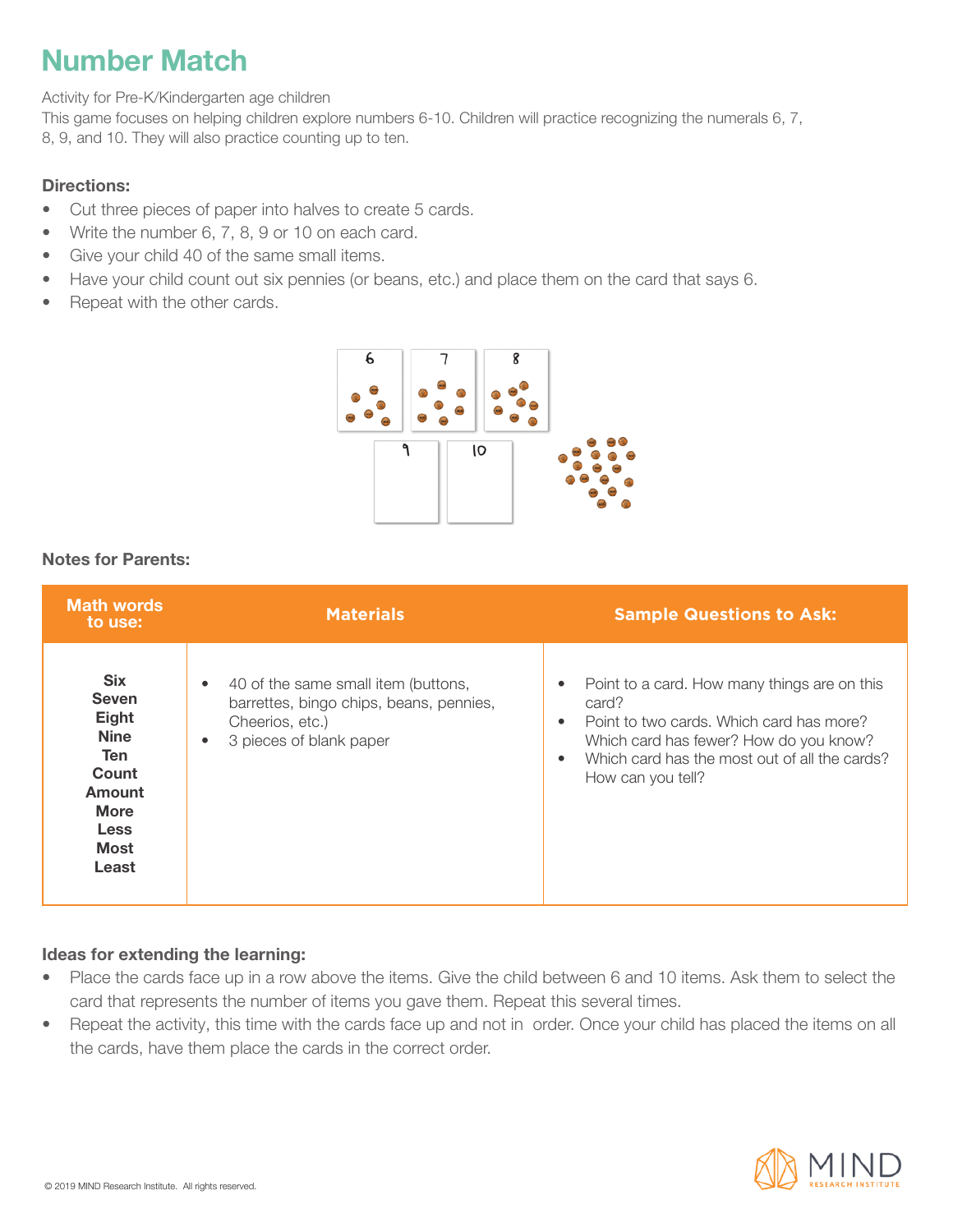# **Number Match**

Activity for Pre-K/Kindergarten age children

This game focuses on helping children explore numbers 6-10. Children will practice recognizing the numerals 6, 7, 8, 9, and 10. They will also practice counting up to ten.

### Directions:

- Cut three pieces of paper into halves to create 5 cards.
- Write the number 6, 7, 8, 9 or 10 on each card.
- Give your child 40 of the same small items.
- Have your child count out six pennies (or beans, etc.) and place them on the card that says 6.
- Repeat with the other cards.



### Notes for Parents:

| <b>Math words</b><br>to use:                                                                                                       | <b>Materials</b>                                                                                                                                       | <b>Sample Questions to Ask:</b>                                                                                                                                                                                   |
|------------------------------------------------------------------------------------------------------------------------------------|--------------------------------------------------------------------------------------------------------------------------------------------------------|-------------------------------------------------------------------------------------------------------------------------------------------------------------------------------------------------------------------|
| <b>Six</b><br><b>Seven</b><br>Eight<br><b>Nine</b><br><b>Ten</b><br>Count<br>Amount<br><b>More</b><br>Less<br><b>Most</b><br>Least | 40 of the same small item (buttons,<br>$\bullet$<br>barrettes, bingo chips, beans, pennies,<br>Cheerios, etc.)<br>3 pieces of blank paper<br>$\bullet$ | Point to a card. How many things are on this<br>card?<br>Point to two cards. Which card has more?<br>Which card has fewer? How do you know?<br>Which card has the most out of all the cards?<br>How can you tell? |

- Place the cards face up in a row above the items. Give the child between 6 and 10 items. Ask them to select the card that represents the number of items you gave them. Repeat this several times.
- Repeat the activity, this time with the cards face up and not in order. Once your child has placed the items on all the cards, have them place the cards in the correct order.

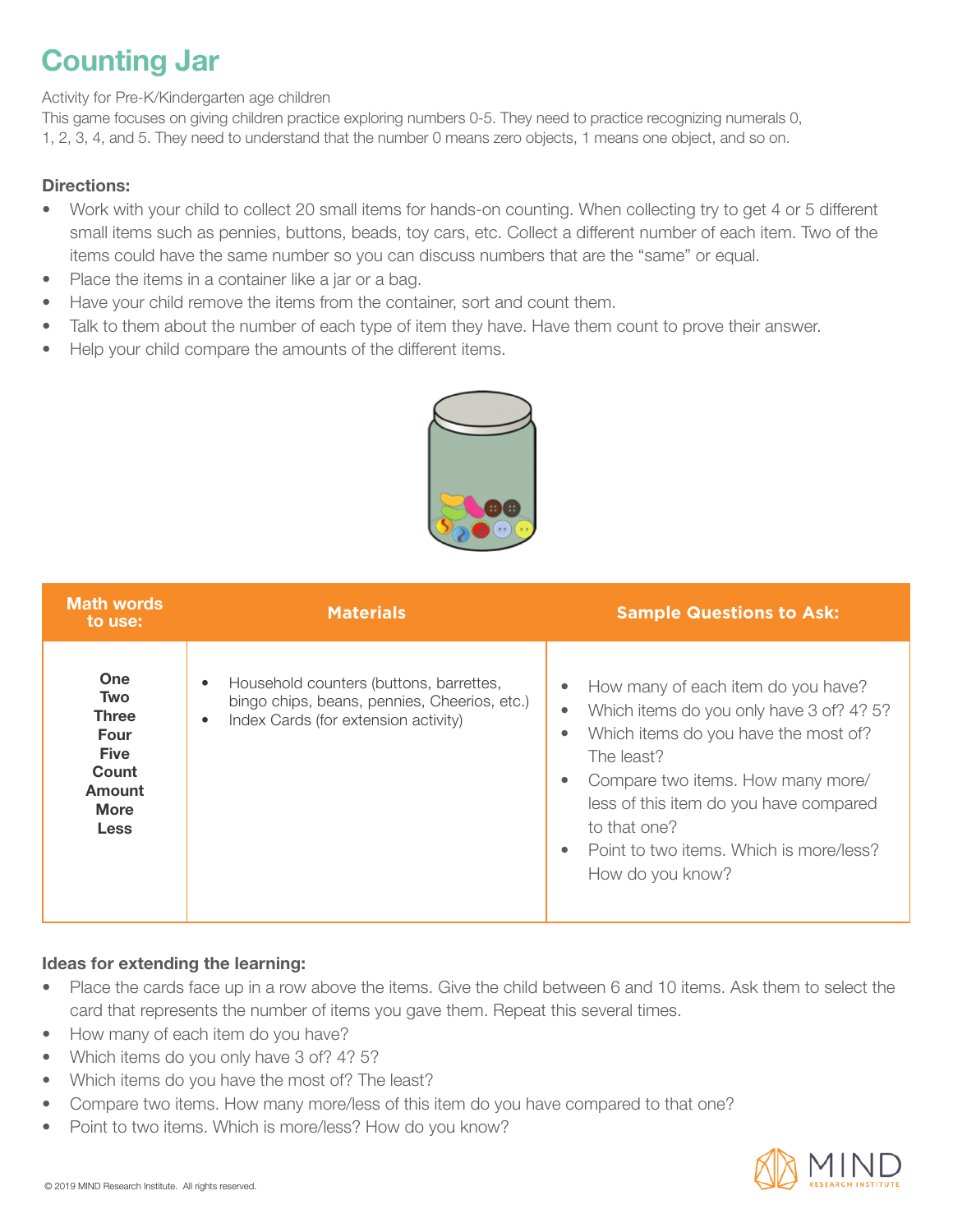# **Counting Jar**

Activity for Pre-K/Kindergarten age children

This game focuses on giving children practice exploring numbers 0-5. They need to practice recognizing numerals 0, 1, 2, 3, 4, and 5. They need to understand that the number 0 means zero objects, 1 means one object, and so on.

### Directions:

- Work with your child to collect 20 small items for hands-on counting. When collecting try to get 4 or 5 different small items such as pennies, buttons, beads, toy cars, etc. Collect a different number of each item. Two of the items could have the same number so you can discuss numbers that are the "same" or equal.
- Place the items in a container like a jar or a bag.
- Have your child remove the items from the container, sort and count them.
- Talk to them about the number of each type of item they have. Have them count to prove their answer.
- Help your child compare the amounts of the different items.



| <b>Math words</b><br>to use:                                                                       | <b>Materials</b>                                                                                                                                          | <b>Sample Questions to Ask:</b>                                                                                                                                                                                                                                                                                                                                     |
|----------------------------------------------------------------------------------------------------|-----------------------------------------------------------------------------------------------------------------------------------------------------------|---------------------------------------------------------------------------------------------------------------------------------------------------------------------------------------------------------------------------------------------------------------------------------------------------------------------------------------------------------------------|
| <b>One</b><br><b>Two</b><br>Three<br>Four<br><b>Five</b><br>Count<br>Amount<br><b>More</b><br>Less | Household counters (buttons, barrettes,<br>$\bullet$<br>bingo chips, beans, pennies, Cheerios, etc.)<br>Index Cards (for extension activity)<br>$\bullet$ | How many of each item do you have?<br>$\bullet$<br>Which items do you only have 3 of? 4? 5?<br>$\bullet$<br>Which items do you have the most of?<br>$\bullet$<br>The least?<br>Compare two items. How many more/<br>$\bullet$<br>less of this item do you have compared<br>to that one?<br>Point to two items. Which is more/less?<br>$\bullet$<br>How do you know? |

- Place the cards face up in a row above the items. Give the child between 6 and 10 items. Ask them to select the card that represents the number of items you gave them. Repeat this several times.
- How many of each item do you have?
- Which items do you only have 3 of? 4? 5?
- Which items do you have the most of? The least?
- Compare two items. How many more/less of this item do you have compared to that one?
- Point to two items. Which is more/less? How do you know?

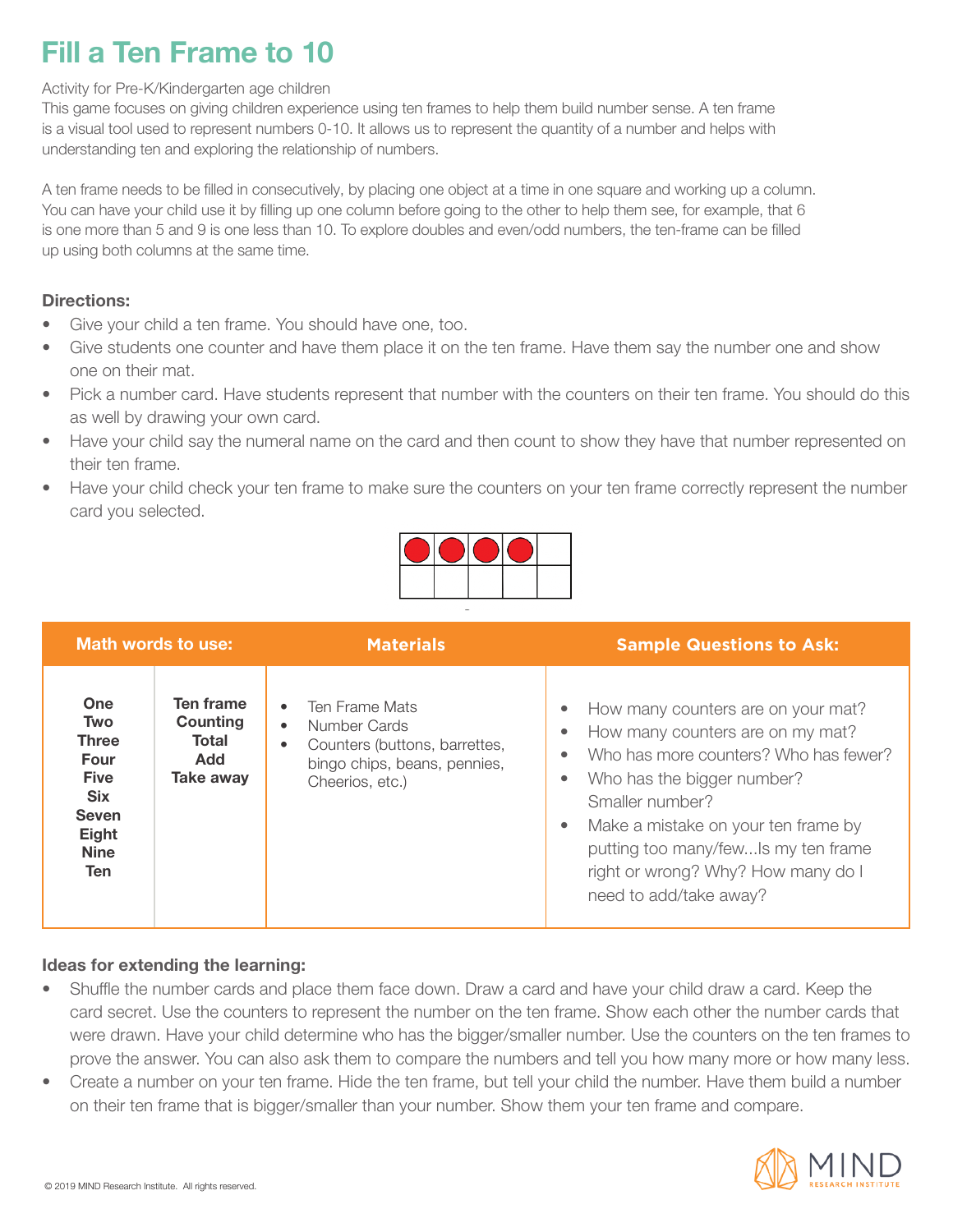## **Fill a Ten Frame to 10**

### Activity for Pre-K/Kindergarten age children

This game focuses on giving children experience using ten frames to help them build number sense. A ten frame is a visual tool used to represent numbers 0-10. It allows us to represent the quantity of a number and helps with understanding ten and exploring the relationship of numbers.

A ten frame needs to be filled in consecutively, by placing one object at a time in one square and working up a column. You can have your child use it by filling up one column before going to the other to help them see, for example, that 6 is one more than 5 and 9 is one less than 10. To explore doubles and even/odd numbers, the ten-frame can be filled up using both columns at the same time.

### Directions:

- Give your child a ten frame. You should have one, too.
- Give students one counter and have them place it on the ten frame. Have them say the number one and show one on their mat.
- Pick a number card. Have students represent that number with the counters on their ten frame. You should do this as well by drawing your own card.
- Have your child say the numeral name on the card and then count to show they have that number represented on their ten frame.
- Have your child check your ten frame to make sure the counters on your ten frame correctly represent the number card you selected.



| Math words to use:                                                                                                           |                                                           | <b>Materials</b>                                                                                                                                          | <b>Sample Questions to Ask:</b>                                                                                                                                                                                                                                                                                |
|------------------------------------------------------------------------------------------------------------------------------|-----------------------------------------------------------|-----------------------------------------------------------------------------------------------------------------------------------------------------------|----------------------------------------------------------------------------------------------------------------------------------------------------------------------------------------------------------------------------------------------------------------------------------------------------------------|
| One<br><b>Two</b><br><b>Three</b><br>Four<br><b>Five</b><br><b>Six</b><br><b>Seven</b><br>Eight<br><b>Nine</b><br><b>Ten</b> | Ten frame<br>Counting<br>Total<br><b>Add</b><br>Take away | Ten Frame Mats<br>$\bullet$<br>Number Cards<br>$\bullet$<br>Counters (buttons, barrettes,<br>$\bullet$<br>bingo chips, beans, pennies,<br>Cheerios, etc.) | How many counters are on your mat?<br>How many counters are on my mat?<br>Who has more counters? Who has fewer?<br>Who has the bigger number?<br>Smaller number?<br>Make a mistake on your ten frame by<br>putting too many/fewIs my ten frame<br>right or wrong? Why? How many do I<br>need to add/take away? |

- Shuffle the number cards and place them face down. Draw a card and have your child draw a card. Keep the card secret. Use the counters to represent the number on the ten frame. Show each other the number cards that were drawn. Have your child determine who has the bigger/smaller number. Use the counters on the ten frames to prove the answer. You can also ask them to compare the numbers and tell you how many more or how many less.
- Create a number on your ten frame. Hide the ten frame, but tell your child the number. Have them build a number on their ten frame that is bigger/smaller than your number. Show them your ten frame and compare.

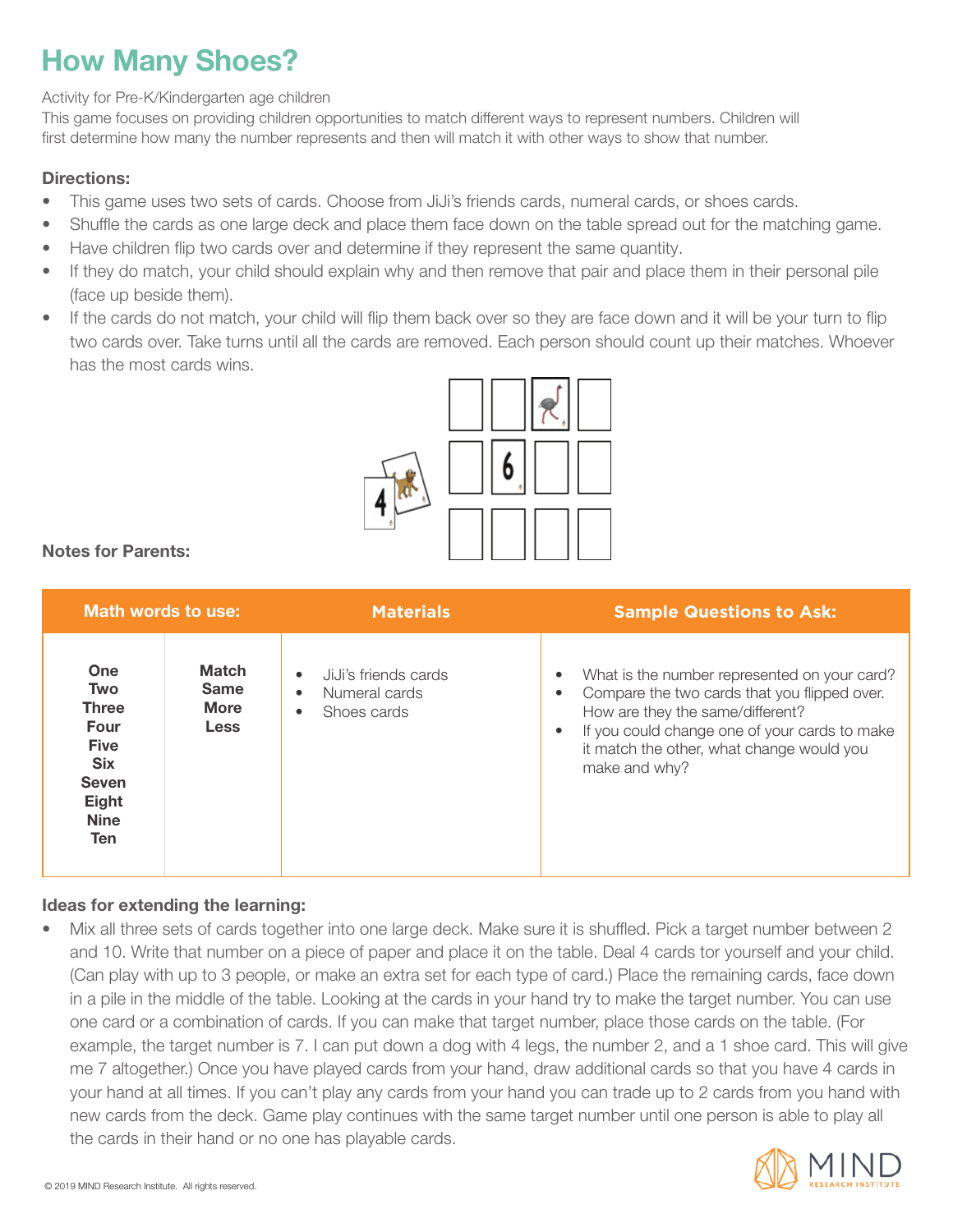# **How Many Shoes?**

#### Activity for Pre-K/Kindergarten age children

This game focuses on providing children opportunities to match different ways to represent numbers. Children will first determine how many the number represents and then will match it with other ways to show that number.

### Directions:

- This game uses two sets of cards. Choose from JiJi's friends cards, numeral cards, or shoes cards.
- Shuffle the cards as one large deck and place them face down on the table spread out for the matching game.
- Have children flip two cards over and determine if they represent the same quantity.
- If they do match, your child should explain why and then remove that pair and place them in their personal pile (face up beside them).
- If the cards do not match, your child will flip them back over so they are face down and it will be your turn to flip two cards over. Take turns until all the cards are removed. Each person should count up their matches. Whoever has the most cards wins.



### Notes for Parents:

|                                                                                                                                            | Math words to use:                                        | <b>Materials</b>                                                                            | <b>Sample Questions to Ask:</b>                                                                                                                                                                                                                                                        |
|--------------------------------------------------------------------------------------------------------------------------------------------|-----------------------------------------------------------|---------------------------------------------------------------------------------------------|----------------------------------------------------------------------------------------------------------------------------------------------------------------------------------------------------------------------------------------------------------------------------------------|
| <b>One</b><br><b>Two</b><br><b>Three</b><br>Four<br><b>Five</b><br><b>Six</b><br><b>Seven</b><br><b>Eight</b><br><b>Nine</b><br><b>Ten</b> | <b>Match</b><br><b>Same</b><br><b>More</b><br><b>Less</b> | JiJi's friends cards<br>$\bullet$<br>Numeral cards<br>$\bullet$<br>Shoes cards<br>$\bullet$ | What is the number represented on your card?<br>$\bullet$<br>Compare the two cards that you flipped over.<br>$\bullet$<br>How are they the same/different?<br>If you could change one of your cards to make<br>$\bullet$<br>it match the other, what change would you<br>make and why? |

### Ideas for extending the learning:

• Mix all three sets of cards together into one large deck. Make sure it is shuffled. Pick a target number between 2 and 10. Write that number on a piece of paper and place it on the table. Deal 4 cards tor yourself and your child. (Can play with up to 3 people, or make an extra set for each type of card.) Place the remaining cards, face down in a pile in the middle of the table. Looking at the cards in your hand try to make the target number. You can use one card or a combination of cards. If you can make that target number, place those cards on the table. (For example, the target number is 7. I can put down a dog with 4 legs, the number 2, and a 1 shoe card. This will give me 7 altogether.) Once you have played cards from your hand, draw additional cards so that you have 4 cards in your hand at all times. If you can't play any cards from your hand you can trade up to 2 cards from you hand with new cards from the deck. Game play continues with the same target number until one person is able to play all the cards in their hand or no one has playable cards.

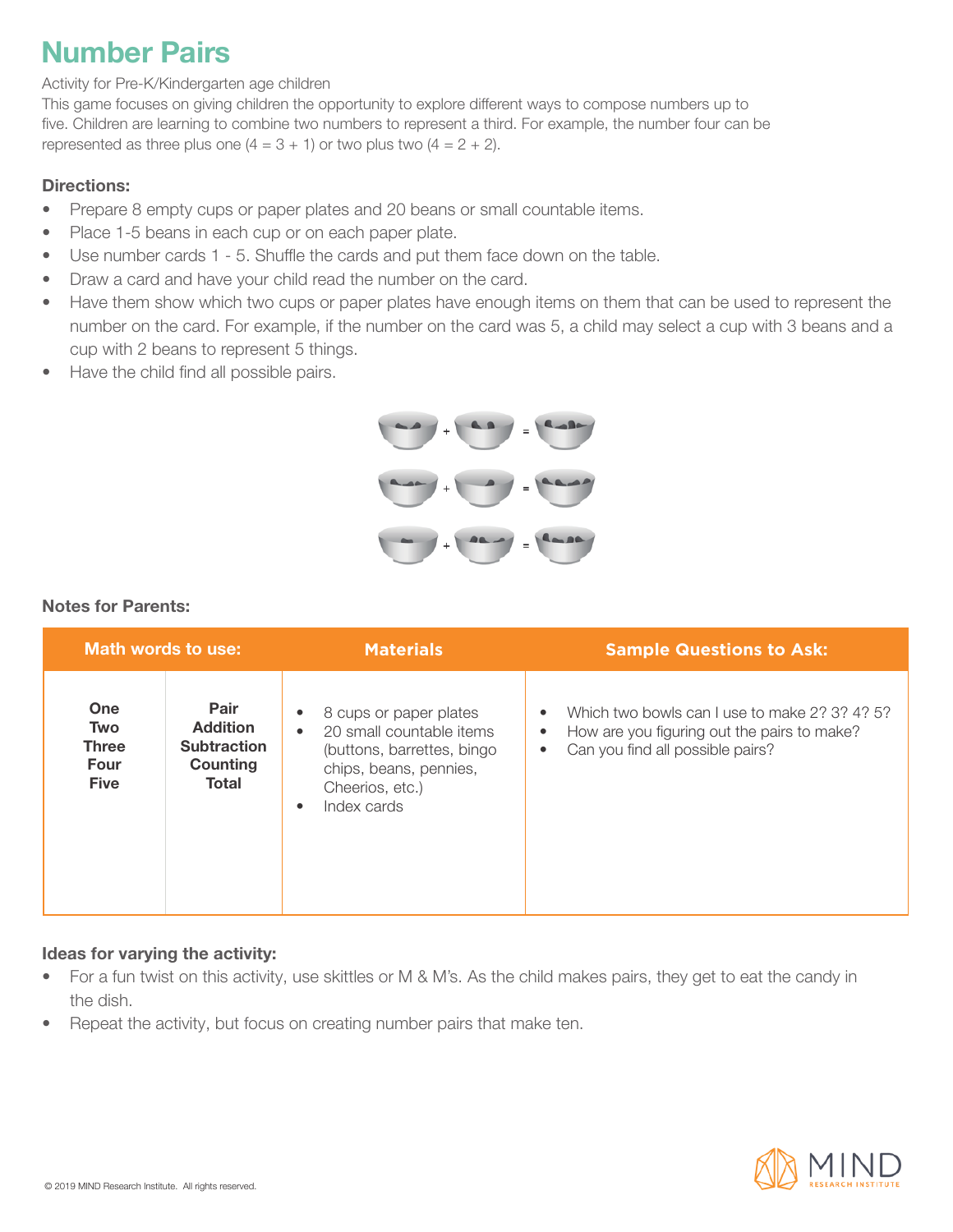### **Number Pairs**

### Activity for Pre-K/Kindergarten age children

This game focuses on giving children the opportunity to explore different ways to compose numbers up to five. Children are learning to combine two numbers to represent a third. For example, the number four can be represented as three plus one  $(4 = 3 + 1)$  or two plus two  $(4 = 2 + 2)$ .

#### Directions:

- Prepare 8 empty cups or paper plates and 20 beans or small countable items.
- Place 1-5 beans in each cup or on each paper plate.
- Use number cards 1 5. Shuffle the cards and put them face down on the table.
- Draw a card and have your child read the number on the card.
- Have them show which two cups or paper plates have enough items on them that can be used to represent the number on the card. For example, if the number on the card was 5, a child may select a cup with 3 beans and a cup with 2 beans to represent 5 things.
- Have the child find all possible pairs.



### Notes for Parents:

| Math words to use:                                              |                                                                    | <b>Materials</b>                                                                                                                                                            | <b>Sample Questions to Ask:</b>                                                                                                                                        |
|-----------------------------------------------------------------|--------------------------------------------------------------------|-----------------------------------------------------------------------------------------------------------------------------------------------------------------------------|------------------------------------------------------------------------------------------------------------------------------------------------------------------------|
| One<br><b>Two</b><br><b>Three</b><br><b>Four</b><br><b>Five</b> | Pair<br><b>Addition</b><br><b>Subtraction</b><br>Counting<br>Total | 8 cups or paper plates<br>٠<br>20 small countable items<br>$\bullet$<br>(buttons, barrettes, bingo<br>chips, beans, pennies,<br>Cheerios, etc.)<br>Index cards<br>$\bullet$ | Which two bowls can Luse to make 2? 3? 4? 5?<br>$\bullet$<br>How are you figuring out the pairs to make?<br>$\bullet$<br>Can you find all possible pairs?<br>$\bullet$ |

### Ideas for varying the activity:

- For a fun twist on this activity, use skittles or M & M's. As the child makes pairs, they get to eat the candy in the dish.
- Repeat the activity, but focus on creating number pairs that make ten.

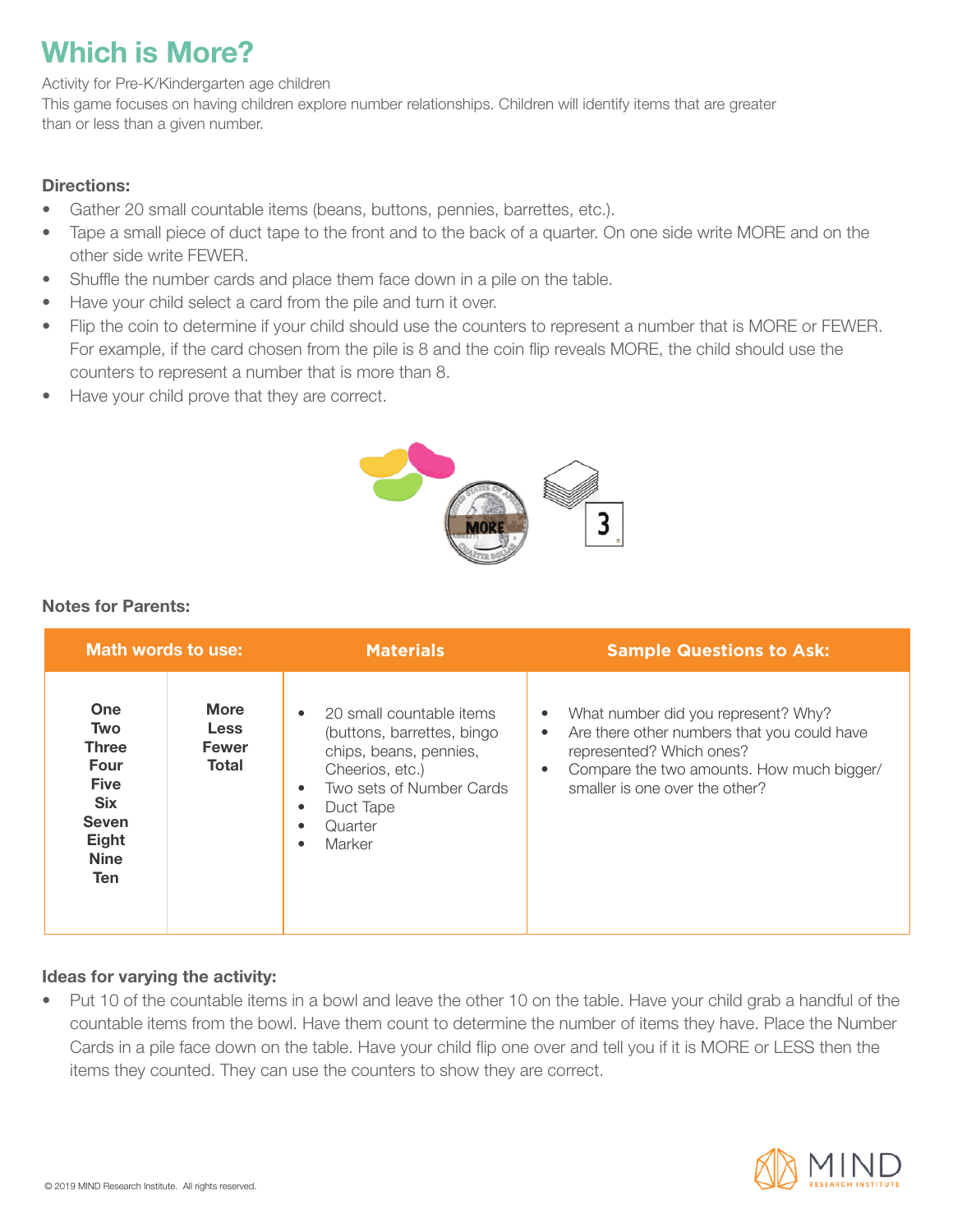## **Which is More?**

Activity for Pre-K/Kindergarten age children

This game focuses on having children explore number relationships. Children will identify items that are greater than or less than a given number.

### Directions:

- Gather 20 small countable items (beans, buttons, pennies, barrettes, etc.).
- Tape a small piece of duct tape to the front and to the back of a quarter. On one side write MORE and on the other side write FEWER.
- Shuffle the number cards and place them face down in a pile on the table.
- Have your child select a card from the pile and turn it over.
- Flip the coin to determine if your child should use the counters to represent a number that is MORE or FEWER. For example, if the card chosen from the pile is 8 and the coin flip reveals MORE, the child should use the counters to represent a number that is more than 8.
- Have your child prove that they are correct.



### Notes for Parents:

| Math words to use:                                                                                                                  |                                                            | <b>Materials</b>                                                                                                                                                                                                      | <b>Sample Questions to Ask:</b>                                                                                                                                                                                                      |
|-------------------------------------------------------------------------------------------------------------------------------------|------------------------------------------------------------|-----------------------------------------------------------------------------------------------------------------------------------------------------------------------------------------------------------------------|--------------------------------------------------------------------------------------------------------------------------------------------------------------------------------------------------------------------------------------|
| <b>One</b><br><b>Two</b><br><b>Three</b><br>Four<br><b>Five</b><br><b>Six</b><br><b>Seven</b><br>Eight<br><b>Nine</b><br><b>Ten</b> | <b>More</b><br><b>Less</b><br><b>Fewer</b><br><b>Total</b> | 20 small countable items<br>$\bullet$<br>(buttons, barrettes, bingo<br>chips, beans, pennies,<br>Cheerios, etc.)<br>Two sets of Number Cards<br>$\bullet$<br>Duct Tape<br>$\bullet$<br>Quarter<br>Marker<br>$\bullet$ | What number did you represent? Why?<br>$\bullet$<br>Are there other numbers that you could have<br>$\bullet$<br>represented? Which ones?<br>Compare the two amounts. How much bigger/<br>$\bullet$<br>smaller is one over the other? |

### Ideas for varying the activity:

• Put 10 of the countable items in a bowl and leave the other 10 on the table. Have your child grab a handful of the countable items from the bowl. Have them count to determine the number of items they have. Place the Number Cards in a pile face down on the table. Have your child flip one over and tell you if it is MORE or LESS then the items they counted. They can use the counters to show they are correct.